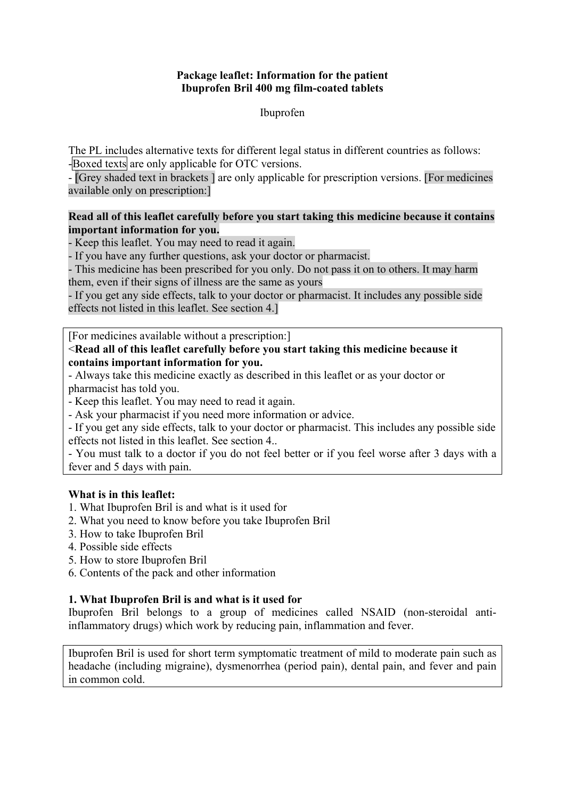### **Package leaflet: Information for the patient Ibuprofen Bril 400 mg film-coated tablets**

#### Ibuprofen

The PL includes alternative texts for different legal status in different countries as follows: -Boxed texts are only applicable for OTC versions.

- [Grey shaded text in brackets ] are only applicable for prescription versions. [For medicines available only on prescription:]

### **Read all of this leaflet carefully before you start taking this medicine because it contains important information for you.**

- Keep this leaflet. You may need to read it again.

- If you have any further questions, ask your doctor or pharmacist.

- This medicine has been prescribed for you only. Do not pass it on to others. It may harm them, even if their signs of illness are the same as yours

- If you get any side effects, talk to your doctor or pharmacist. It includes any possible side effects not listed in this leaflet. See section 4.]

[For medicines available without a prescription:]

## <**Read all of this leaflet carefully before you start taking this medicine because it contains important information for you.**

- Always take this medicine exactly as described in this leaflet or as your doctor or pharmacist has told you.

- Keep this leaflet. You may need to read it again.

- Ask your pharmacist if you need more information or advice.

- If you get any side effects, talk to your doctor or pharmacist. This includes any possible side effects not listed in this leaflet. See section 4..

- You must talk to a doctor if you do not feel better or if you feel worse after 3 days with a fever and 5 days with pain.

# **What is in this leaflet:**

- 1. What Ibuprofen Bril is and what is it used for
- 2. What you need to know before you take Ibuprofen Bril
- 3. How to take Ibuprofen Bril
- 4. Possible side effects
- 5. How to store Ibuprofen Bril
- 6. Contents of the pack and other information

# **1. What Ibuprofen Bril is and what is it used for**

Ibuprofen Bril belongs to a group of medicines called NSAID (non-steroidal antiinflammatory drugs) which work by reducing pain, inflammation and fever.

Ibuprofen Bril is used for short term symptomatic treatment of mild to moderate pain such as headache (including migraine), dysmenorrhea (period pain), dental pain, and fever and pain in common cold.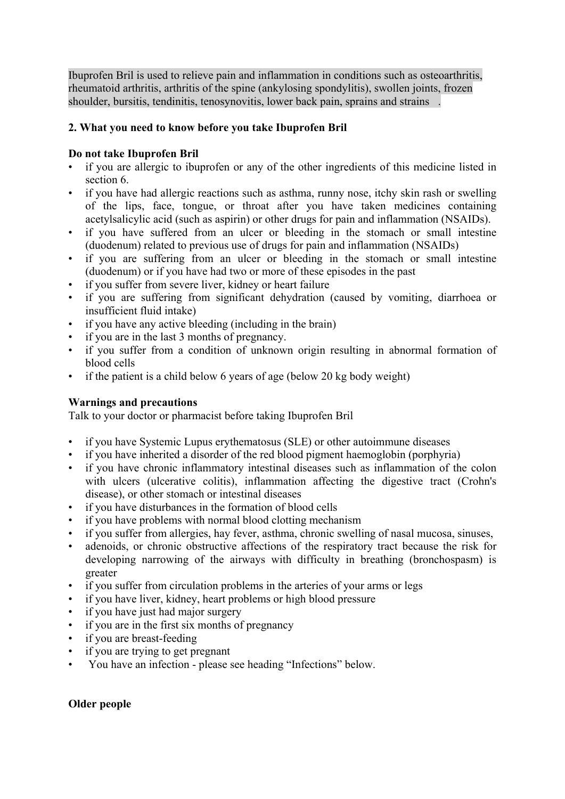Ibuprofen Bril is used to relieve pain and inflammation in conditions such as osteoarthritis, rheumatoid arthritis, arthritis of the spine (ankylosing spondylitis), swollen joints, frozen shoulder, bursitis, tendinitis, tenosynovitis, lower back pain, sprains and strains .

# **2. What you need to know before you take Ibuprofen Bril**

## **Do not take Ibuprofen Bril**

- if you are allergic to ibuprofen or any of the other ingredients of this medicine listed in section 6.
- if you have had allergic reactions such as asthma, runny nose, itchy skin rash or swelling of the lips, face, tongue, or throat after you have taken medicines containing acetylsalicylic acid (such as aspirin) or other drugs for pain and inflammation (NSAIDs).
- if you have suffered from an ulcer or bleeding in the stomach or small intestine (duodenum) related to previous use of drugs for pain and inflammation (NSAIDs)
- if you are suffering from an ulcer or bleeding in the stomach or small intestine (duodenum) or if you have had two or more of these episodes in the past
- if you suffer from severe liver, kidney or heart failure
- if you are suffering from significant dehydration (caused by vomiting, diarrhoea or insufficient fluid intake)
- if you have any active bleeding (including in the brain)
- if you are in the last 3 months of pregnancy.
- if you suffer from a condition of unknown origin resulting in abnormal formation of blood cells
- if the patient is a child below 6 years of age (below 20 kg body weight)

#### **Warnings and precautions**

Talk to your doctor or pharmacist before taking Ibuprofen Bril

- if you have Systemic Lupus erythematosus (SLE) or other autoimmune diseases
- if you have inherited a disorder of the red blood pigment haemoglobin (porphyria)
- if you have chronic inflammatory intestinal diseases such as inflammation of the colon with ulcers (ulcerative colitis), inflammation affecting the digestive tract (Crohn's disease), or other stomach or intestinal diseases
- if you have disturbances in the formation of blood cells
- if you have problems with normal blood clotting mechanism
- if you suffer from allergies, hay fever, asthma, chronic swelling of nasal mucosa, sinuses,
- adenoids, or chronic obstructive affections of the respiratory tract because the risk for developing narrowing of the airways with difficulty in breathing (bronchospasm) is greater
- if you suffer from circulation problems in the arteries of your arms or legs
- if you have liver, kidney, heart problems or high blood pressure
- if you have just had major surgery
- if you are in the first six months of pregnancy
- if you are breast-feeding
- if you are trying to get pregnant
- You have an infection please see heading "Infections" below.

# **Older people**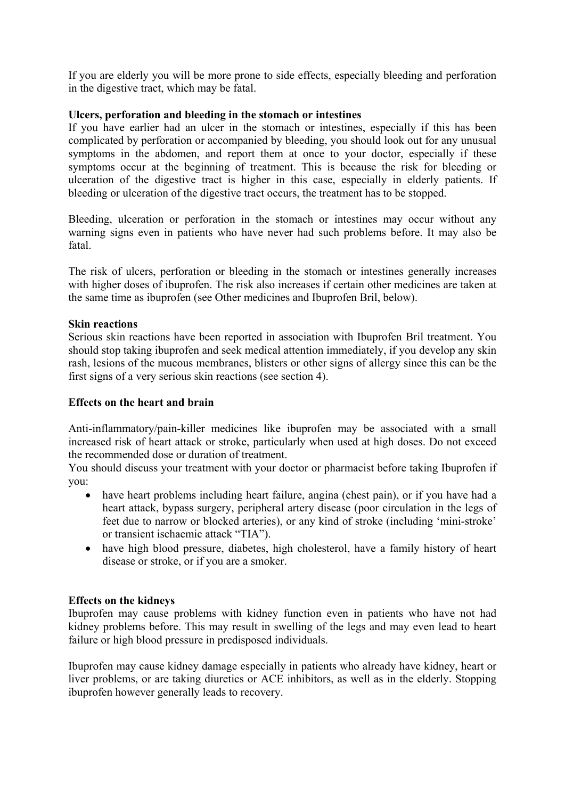If you are elderly you will be more prone to side effects, especially bleeding and perforation in the digestive tract, which may be fatal.

## **Ulcers, perforation and bleeding in the stomach or intestines**

If you have earlier had an ulcer in the stomach or intestines, especially if this has been complicated by perforation or accompanied by bleeding, you should look out for any unusual symptoms in the abdomen, and report them at once to your doctor, especially if these symptoms occur at the beginning of treatment. This is because the risk for bleeding or ulceration of the digestive tract is higher in this case, especially in elderly patients. If bleeding or ulceration of the digestive tract occurs, the treatment has to be stopped.

Bleeding, ulceration or perforation in the stomach or intestines may occur without any warning signs even in patients who have never had such problems before. It may also be fatal.

The risk of ulcers, perforation or bleeding in the stomach or intestines generally increases with higher doses of ibuprofen. The risk also increases if certain other medicines are taken at the same time as ibuprofen (see Other medicines and Ibuprofen Bril, below).

#### **Skin reactions**

Serious skin reactions have been reported in association with Ibuprofen Bril treatment. You should stop taking ibuprofen and seek medical attention immediately, if you develop any skin rash, lesions of the mucous membranes, blisters or other signs of allergy since this can be the first signs of a very serious skin reactions (see section 4).

## **Effects on the heart and brain**

Anti-inflammatory/pain-killer medicines like ibuprofen may be associated with a small increased risk of heart attack or stroke, particularly when used at high doses. Do not exceed the recommended dose or duration of treatment.

You should discuss your treatment with your doctor or pharmacist before taking Ibuprofen if you:

- have heart problems including heart failure, angina (chest pain), or if you have had a heart attack, bypass surgery, peripheral artery disease (poor circulation in the legs of feet due to narrow or blocked arteries), or any kind of stroke (including 'mini-stroke' or transient ischaemic attack "TIA").
- have high blood pressure, diabetes, high cholesterol, have a family history of heart disease or stroke, or if you are a smoker.

#### **Effects on the kidneys**

Ibuprofen may cause problems with kidney function even in patients who have not had kidney problems before. This may result in swelling of the legs and may even lead to heart failure or high blood pressure in predisposed individuals.

Ibuprofen may cause kidney damage especially in patients who already have kidney, heart or liver problems, or are taking diuretics or ACE inhibitors, as well as in the elderly. Stopping ibuprofen however generally leads to recovery.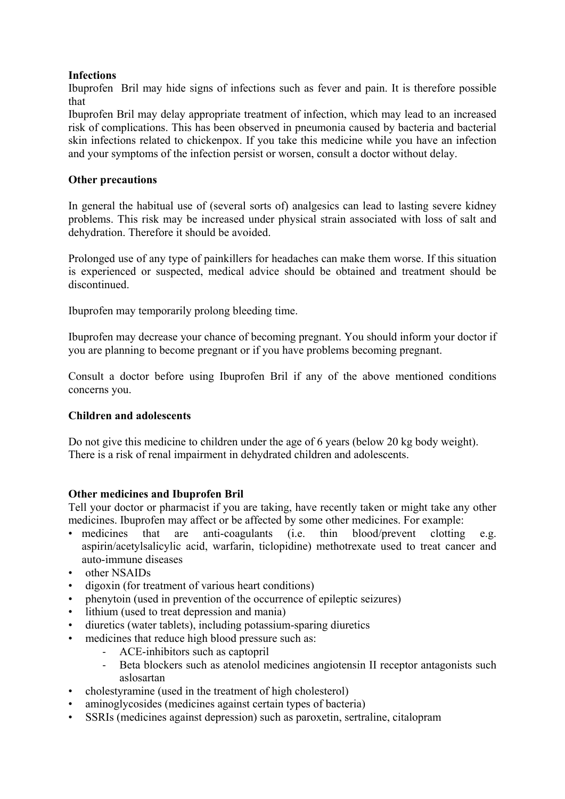# **Infections**

Ibuprofen Bril may hide signs of infections such as fever and pain. It is therefore possible that

Ibuprofen Bril may delay appropriate treatment of infection, which may lead to an increased risk of complications. This has been observed in pneumonia caused by bacteria and bacterial skin infections related to chickenpox. If you take this medicine while you have an infection and your symptoms of the infection persist or worsen, consult a doctor without delay.

# **Other precautions**

In general the habitual use of (several sorts of) analgesics can lead to lasting severe kidney problems. This risk may be increased under physical strain associated with loss of salt and dehydration. Therefore it should be avoided.

Prolonged use of any type of painkillers for headaches can make them worse. If this situation is experienced or suspected, medical advice should be obtained and treatment should be discontinued.

Ibuprofen may temporarily prolong bleeding time.

Ibuprofen may decrease your chance of becoming pregnant. You should inform your doctor if you are planning to become pregnant or if you have problems becoming pregnant.

Consult a doctor before using Ibuprofen Bril if any of the above mentioned conditions concerns you.

# **Children and adolescents**

Do not give this medicine to children under the age of 6 years (below 20 kg body weight). There is a risk of renal impairment in dehydrated children and adolescents.

# **Other medicines and Ibuprofen Bril**

Tell your doctor or pharmacist if you are taking, have recently taken or might take any other medicines. Ibuprofen may affect or be affected by some other medicines. For example:

- medicines that are anti-coagulants (i.e. thin blood/prevent clotting e.g. aspirin/acetylsalicylic acid, warfarin, ticlopidine) methotrexate used to treat cancer and auto-immune diseases
- other NSAIDs
- digoxin (for treatment of various heart conditions)
- phenytoin (used in prevention of the occurrence of epileptic seizures)
- lithium (used to treat depression and mania)
- diuretics (water tablets), including potassium-sparing diuretics
- medicines that reduce high blood pressure such as:
	- ‐ ACE-inhibitors such as captopril
	- ‐ Beta blockers such as atenolol medicines angiotensin II receptor antagonists such aslosartan
- cholestyramine (used in the treatment of high cholesterol)
- aminoglycosides (medicines against certain types of bacteria)
- SSRIs (medicines against depression) such as paroxetin, sertraline, citalopram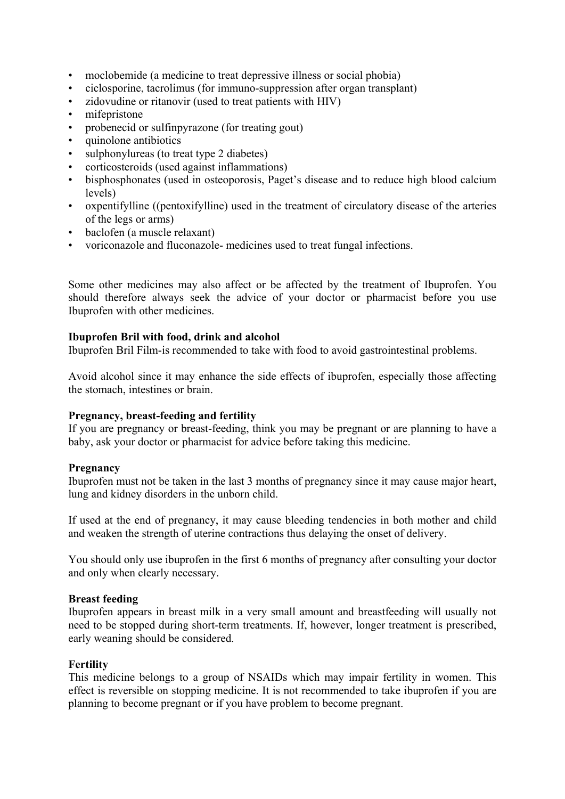- moclobemide (a medicine to treat depressive illness or social phobia)
- ciclosporine, tacrolimus (for immuno-suppression after organ transplant)
- zidovudine or ritanovir (used to treat patients with HIV)
- mifepristone
- probenecid or sulfinpyrazone (for treating gout)
- quinolone antibiotics
- sulphonylureas (to treat type 2 diabetes)
- corticosteroids (used against inflammations)
- bisphosphonates (used in osteoporosis, Paget's disease and to reduce high blood calcium levels)
- oxpentifylline ((pentoxifylline) used in the treatment of circulatory disease of the arteries of the legs or arms)
- baclofen (a muscle relaxant)
- voriconazole and fluconazole- medicines used to treat fungal infections.

Some other medicines may also affect or be affected by the treatment of Ibuprofen. You should therefore always seek the advice of your doctor or pharmacist before you use Ibuprofen with other medicines.

#### **Ibuprofen Bril with food, drink and alcohol**

Ibuprofen Bril Film-is recommended to take with food to avoid gastrointestinal problems.

Avoid alcohol since it may enhance the side effects of ibuprofen, especially those affecting the stomach, intestines or brain.

#### **Pregnancy, breast-feeding and fertility**

If you are pregnancy or breast-feeding, think you may be pregnant or are planning to have a baby, ask your doctor or pharmacist for advice before taking this medicine.

#### **Pregnancy**

Ibuprofen must not be taken in the last 3 months of pregnancy since it may cause major heart, lung and kidney disorders in the unborn child.

If used at the end of pregnancy, it may cause bleeding tendencies in both mother and child and weaken the strength of uterine contractions thus delaying the onset of delivery.

You should only use ibuprofen in the first 6 months of pregnancy after consulting your doctor and only when clearly necessary.

#### **Breast feeding**

Ibuprofen appears in breast milk in a very small amount and breastfeeding will usually not need to be stopped during short-term treatments. If, however, longer treatment is prescribed, early weaning should be considered.

#### **Fertility**

This medicine belongs to a group of NSAIDs which may impair fertility in women. This effect is reversible on stopping medicine. It is not recommended to take ibuprofen if you are planning to become pregnant or if you have problem to become pregnant.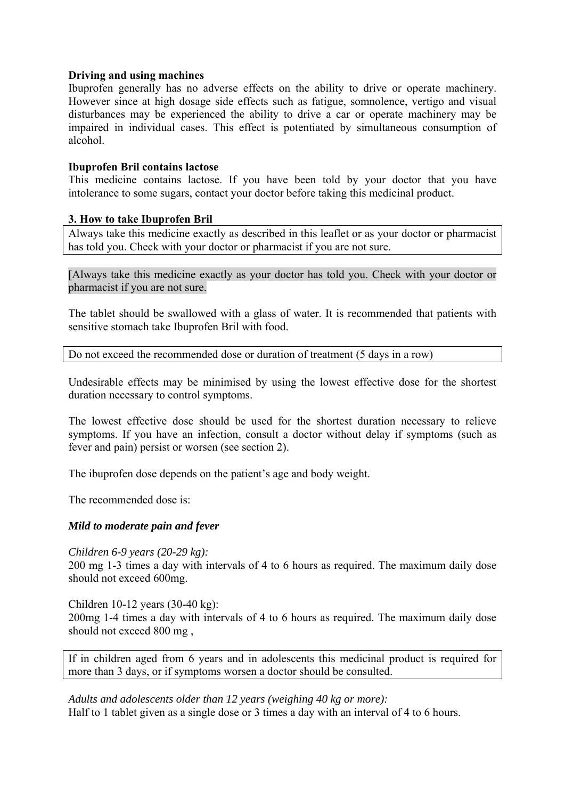#### **Driving and using machines**

Ibuprofen generally has no adverse effects on the ability to drive or operate machinery. However since at high dosage side effects such as fatigue, somnolence, vertigo and visual disturbances may be experienced the ability to drive a car or operate machinery may be impaired in individual cases. This effect is potentiated by simultaneous consumption of alcohol.

#### **Ibuprofen Bril contains lactose**

This medicine contains lactose. If you have been told by your doctor that you have intolerance to some sugars, contact your doctor before taking this medicinal product.

### **3. How to take Ibuprofen Bril**

Always take this medicine exactly as described in this leaflet or as your doctor or pharmacist has told you. Check with your doctor or pharmacist if you are not sure.

[Always take this medicine exactly as your doctor has told you. Check with your doctor or pharmacist if you are not sure.

The tablet should be swallowed with a glass of water. It is recommended that patients with sensitive stomach take Ibuprofen Bril with food.

Do not exceed the recommended dose or duration of treatment (5 days in a row)

Undesirable effects may be minimised by using the lowest effective dose for the shortest duration necessary to control symptoms.

The lowest effective dose should be used for the shortest duration necessary to relieve symptoms. If you have an infection, consult a doctor without delay if symptoms (such as fever and pain) persist or worsen (see section 2).

The ibuprofen dose depends on the patient's age and body weight.

The recommended dose is:

# *Mild to moderate pain and fever*

*Children 6-9 years (20-29 kg):* 

200 mg 1-3 times a day with intervals of 4 to 6 hours as required. The maximum daily dose should not exceed 600mg.

Children 10-12 years (30-40 kg): 200mg 1-4 times a day with intervals of 4 to 6 hours as required. The maximum daily dose should not exceed 800 mg ,

If in children aged from 6 years and in adolescents this medicinal product is required for more than 3 days, or if symptoms worsen a doctor should be consulted.

*Adults and adolescents older than 12 years (weighing 40 kg or more):*  Half to 1 tablet given as a single dose or 3 times a day with an interval of 4 to 6 hours.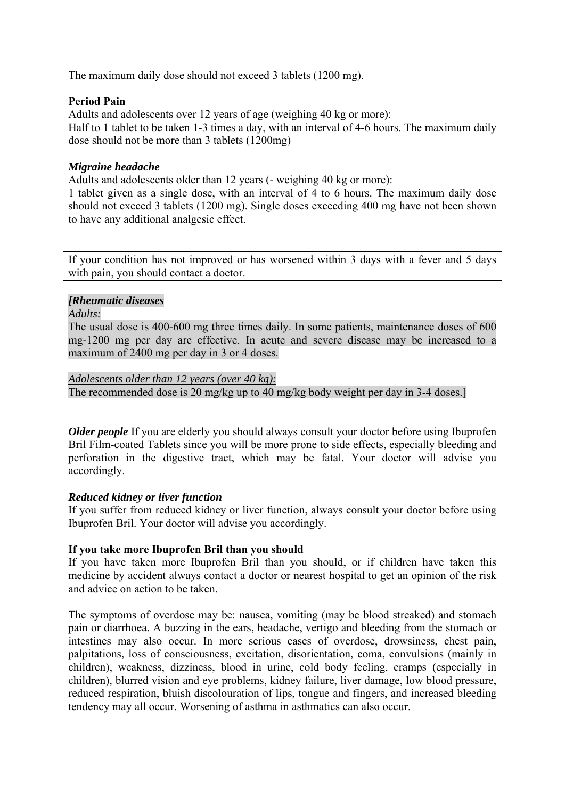The maximum daily dose should not exceed 3 tablets (1200 mg).

#### **Period Pain**

Adults and adolescents over 12 years of age (weighing 40 kg or more): Half to 1 tablet to be taken 1-3 times a day, with an interval of 4-6 hours. The maximum daily dose should not be more than 3 tablets (1200mg)

## *Migraine headache*

Adults and adolescents older than 12 years (- weighing 40 kg or more):

1 tablet given as a single dose, with an interval of 4 to 6 hours. The maximum daily dose should not exceed 3 tablets (1200 mg). Single doses exceeding 400 mg have not been shown to have any additional analgesic effect.

If your condition has not improved or has worsened within 3 days with a fever and 5 days with pain, you should contact a doctor.

### *[Rheumatic diseases*

*Adults:*

The usual dose is 400-600 mg three times daily. In some patients, maintenance doses of 600 mg-1200 mg per day are effective. In acute and severe disease may be increased to a maximum of 2400 mg per day in 3 or 4 doses.

#### *Adolescents older than 12 years (over 40 kg):*

The recommended dose is 20 mg/kg up to 40 mg/kg body weight per day in 3-4 doses.]

*Older people* If you are elderly you should always consult your doctor before using Ibuprofen Bril Film-coated Tablets since you will be more prone to side effects, especially bleeding and perforation in the digestive tract, which may be fatal. Your doctor will advise you accordingly.

#### *Reduced kidney or liver function*

If you suffer from reduced kidney or liver function, always consult your doctor before using Ibuprofen Bril. Your doctor will advise you accordingly.

#### **If you take more Ibuprofen Bril than you should**

If you have taken more Ibuprofen Bril than you should, or if children have taken this medicine by accident always contact a doctor or nearest hospital to get an opinion of the risk and advice on action to be taken.

The symptoms of overdose may be: nausea, vomiting (may be blood streaked) and stomach pain or diarrhoea. A buzzing in the ears, headache, vertigo and bleeding from the stomach or intestines may also occur. In more serious cases of overdose, drowsiness, chest pain, palpitations, loss of consciousness, excitation, disorientation, coma, convulsions (mainly in children), weakness, dizziness, blood in urine, cold body feeling, cramps (especially in children), blurred vision and eye problems, kidney failure, liver damage, low blood pressure, reduced respiration, bluish discolouration of lips, tongue and fingers, and increased bleeding tendency may all occur. Worsening of asthma in asthmatics can also occur.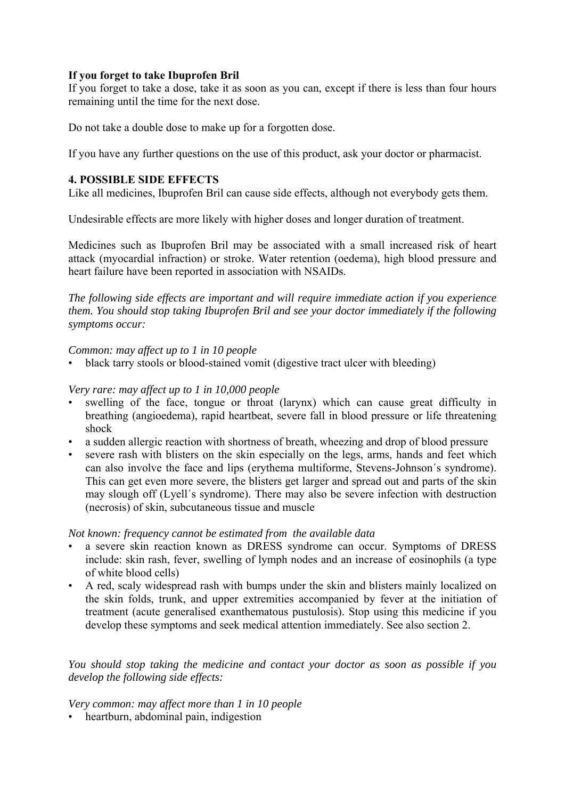# **If you forget to take Ibuprofen Bril**

If you forget to take a dose, take it as soon as you can, except if there is less than four hours remaining until the time for the next dose.

Do not take a double dose to make up for a forgotten dose.

If you have any further questions on the use of this product, ask your doctor or pharmacist.

## **4. POSSIBLE SIDE EFFECTS**

Like all medicines, Ibuprofen Bril can cause side effects, although not everybody gets them.

Undesirable effects are more likely with higher doses and longer duration of treatment.

Medicines such as Ibuprofen Bril may be associated with a small increased risk of heart attack (myocardial infraction) or stroke. Water retention (oedema), high blood pressure and heart failure have been reported in association with NSAIDs.

*The following side effects are important and will require immediate action if you experience them. You should stop taking Ibuprofen Bril and see your doctor immediately if the following symptoms occur:* 

#### *Common: may affect up to 1 in 10 people*

• black tarry stools or blood-stained vomit (digestive tract ulcer with bleeding)

*Very rare: may affect up to 1 in 10,000 people* 

- swelling of the face, tongue or throat (larynx) which can cause great difficulty in breathing (angioedema), rapid heartbeat, severe fall in blood pressure or life threatening shock
- a sudden allergic reaction with shortness of breath, wheezing and drop of blood pressure
- severe rash with blisters on the skin especially on the legs, arms, hands and feet which can also involve the face and lips (erythema multiforme, Stevens-Johnson´s syndrome). This can get even more severe, the blisters get larger and spread out and parts of the skin may slough off (Lyell´s syndrome). There may also be severe infection with destruction (necrosis) of skin, subcutaneous tissue and muscle

#### *Not known: frequency cannot be estimated from the available data*

- a severe skin reaction known as DRESS syndrome can occur. Symptoms of DRESS include: skin rash, fever, swelling of lymph nodes and an increase of eosinophils (a type of white blood cells)
- A red, scaly widespread rash with bumps under the skin and blisters mainly localized on the skin folds, trunk, and upper extremities accompanied by fever at the initiation of treatment (acute generalised exanthematous pustulosis). Stop using this medicine if you develop these symptoms and seek medical attention immediately. See also section 2.

### *You should stop taking the medicine and contact your doctor as soon as possible if you develop the following side effects:*

*Very common: may affect more than 1 in 10 people* 

• heartburn, abdominal pain, indigestion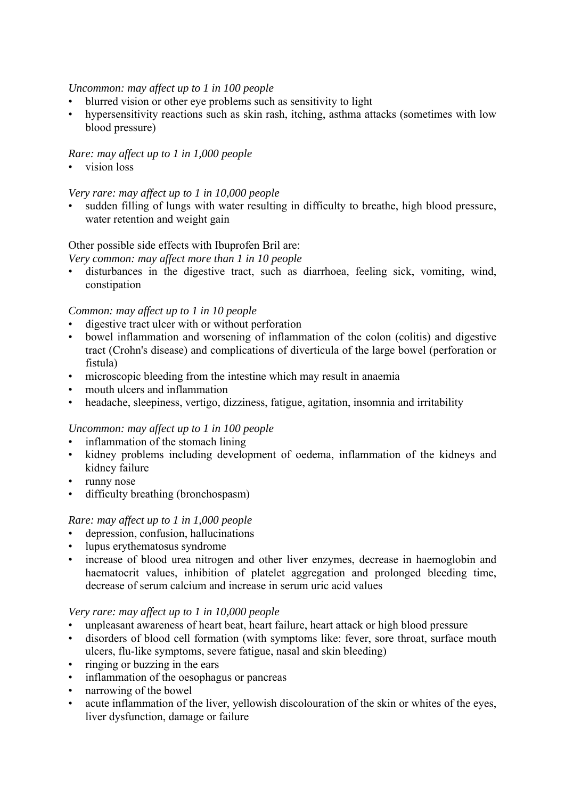### *Uncommon: may affect up to 1 in 100 people*

- blurred vision or other eye problems such as sensitivity to light
- hypersensitivity reactions such as skin rash, itching, asthma attacks (sometimes with low blood pressure)

## *Rare: may affect up to 1 in 1,000 people*

vision loss

#### *Very rare: may affect up to 1 in 10,000 people*

• sudden filling of lungs with water resulting in difficulty to breathe, high blood pressure, water retention and weight gain

### Other possible side effects with Ibuprofen Bril are:

*Very common: may affect more than 1 in 10 people* 

• disturbances in the digestive tract, such as diarrhoea, feeling sick, vomiting, wind, constipation

### *Common: may affect up to 1 in 10 people*

- digestive tract ulcer with or without perforation
- bowel inflammation and worsening of inflammation of the colon (colitis) and digestive tract (Crohn's disease) and complications of diverticula of the large bowel (perforation or fistula)
- microscopic bleeding from the intestine which may result in anaemia
- mouth ulcers and inflammation
- headache, sleepiness, vertigo, dizziness, fatigue, agitation, insomnia and irritability

# *Uncommon: may affect up to 1 in 100 people*

- inflammation of the stomach lining
- kidney problems including development of oedema, inflammation of the kidneys and kidney failure
- runny nose
- difficulty breathing (bronchospasm)

# *Rare: may affect up to 1 in 1,000 people*

- depression, confusion, hallucinations
- lupus erythematosus syndrome
- increase of blood urea nitrogen and other liver enzymes, decrease in haemoglobin and haematocrit values, inhibition of platelet aggregation and prolonged bleeding time, decrease of serum calcium and increase in serum uric acid values

#### *Very rare: may affect up to 1 in 10,000 people*

- unpleasant awareness of heart beat, heart failure, heart attack or high blood pressure
- disorders of blood cell formation (with symptoms like: fever, sore throat, surface mouth ulcers, flu-like symptoms, severe fatigue, nasal and skin bleeding)
- ringing or buzzing in the ears
- inflammation of the oesophagus or pancreas
- narrowing of the bowel
- acute inflammation of the liver, yellowish discolouration of the skin or whites of the eyes, liver dysfunction, damage or failure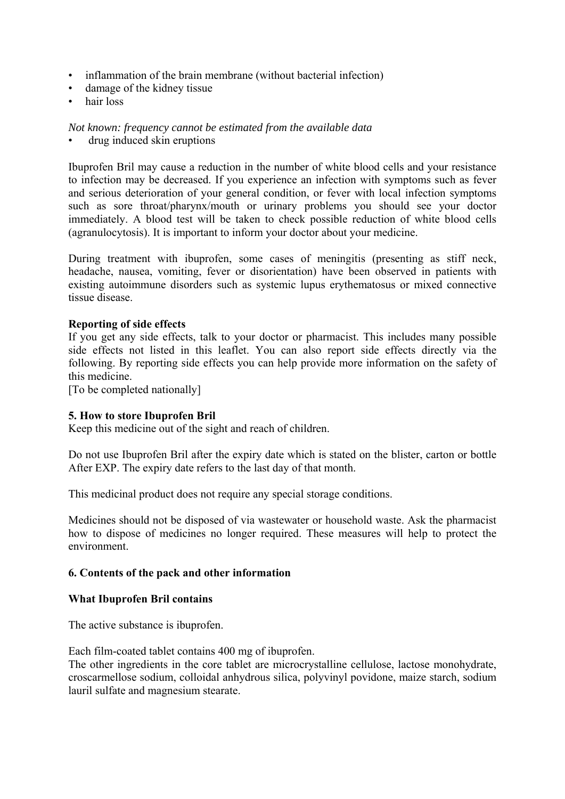- inflammation of the brain membrane (without bacterial infection)
- damage of the kidney tissue
- hair loss

#### *Not known: frequency cannot be estimated from the available data*

drug induced skin eruptions

Ibuprofen Bril may cause a reduction in the number of white blood cells and your resistance to infection may be decreased. If you experience an infection with symptoms such as fever and serious deterioration of your general condition, or fever with local infection symptoms such as sore throat/pharynx/mouth or urinary problems you should see your doctor immediately. A blood test will be taken to check possible reduction of white blood cells (agranulocytosis). It is important to inform your doctor about your medicine.

During treatment with ibuprofen, some cases of meningitis (presenting as stiff neck, headache, nausea, vomiting, fever or disorientation) have been observed in patients with existing autoimmune disorders such as systemic lupus erythematosus or mixed connective tissue disease.

### **Reporting of side effects**

If you get any side effects, talk to your doctor or pharmacist. This includes many possible side effects not listed in this leaflet. You can also report side effects directly via the following. By reporting side effects you can help provide more information on the safety of this medicine.

[To be completed nationally]

#### **5. How to store Ibuprofen Bril**

Keep this medicine out of the sight and reach of children.

Do not use Ibuprofen Bril after the expiry date which is stated on the blister, carton or bottle After EXP. The expiry date refers to the last day of that month.

This medicinal product does not require any special storage conditions.

Medicines should not be disposed of via wastewater or household waste. Ask the pharmacist how to dispose of medicines no longer required. These measures will help to protect the environment.

#### **6. Contents of the pack and other information**

#### **What Ibuprofen Bril contains**

The active substance is ibuprofen.

Each film-coated tablet contains 400 mg of ibuprofen.

The other ingredients in the core tablet are microcrystalline cellulose, lactose monohydrate, croscarmellose sodium, colloidal anhydrous silica, polyvinyl povidone, maize starch, sodium lauril sulfate and magnesium stearate.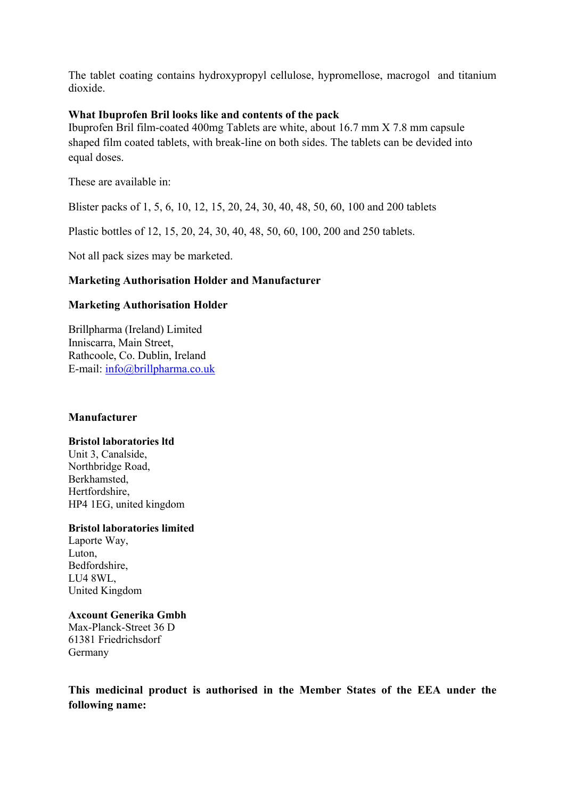The tablet coating contains hydroxypropyl cellulose, hypromellose, macrogol and titanium dioxide.

### **What Ibuprofen Bril looks like and contents of the pack**

Ibuprofen Bril film-coated 400mg Tablets are white, about 16.7 mm X 7.8 mm capsule shaped film coated tablets, with break-line on both sides. The tablets can be devided into equal doses.

These are available in:

Blister packs of 1, 5, 6, 10, 12, 15, 20, 24, 30, 40, 48, 50, 60, 100 and 200 tablets

Plastic bottles of 12, 15, 20, 24, 30, 40, 48, 50, 60, 100, 200 and 250 tablets.

Not all pack sizes may be marketed.

# **Marketing Authorisation Holder and Manufacturer**

### **Marketing Authorisation Holder**

Brillpharma (Ireland) Limited Inniscarra, Main Street, Rathcoole, Co. Dublin, Ireland E-mail: info@brillpharma.co.uk

#### **Manufacturer**

#### **Bristol laboratories ltd**

Unit 3, Canalside, Northbridge Road, Berkhamsted, Hertfordshire, HP4 1EG, united kingdom

#### **Bristol laboratories limited**

Laporte Way, Luton, Bedfordshire, LU4 8WL, United Kingdom

#### **Axcount Generika Gmbh**

Max-Planck-Street 36 D 61381 Friedrichsdorf Germany

**This medicinal product is authorised in the Member States of the EEA under the following name:**